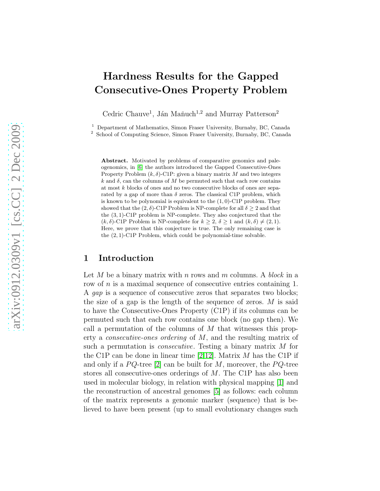# Hardness Results for the Gapped Consecutive-Ones Property Problem

Cedric Chauve<sup>1</sup>, Ján Maňuch<sup>1,2</sup> and Murray Patterson<sup>2</sup>

<sup>1</sup> Department of Mathematics, Simon Fraser University, Burnaby, BC, Canada

<sup>2</sup> School of Computing Science, Simon Fraser University, Burnaby, BC, Canada

Abstract. Motivated by problems of comparative genomics and paleogenomics, in [\[6\]](#page-11-0) the authors introduced the Gapped Consecutive-Ones Property Problem  $(k, \delta)$ -C1P: given a binary matrix M and two integers  $k$  and  $\delta$ , can the columns of M be permuted such that each row contains at most k blocks of ones and no two consecutive blocks of ones are separated by a gap of more than  $\delta$  zeros. The classical C1P problem, which is known to be polynomial is equivalent to the  $(1, 0)$ -C1P problem. They showed that the  $(2, \delta)$ -C1P Problem is NP-complete for all  $\delta \geq 2$  and that the (3, 1)-C1P problem is NP-complete. They also conjectured that the  $(k, \delta)$ -C1P Problem is NP-complete for  $k \geq 2$ ,  $\delta \geq 1$  and  $(k, \delta) \neq (2, 1)$ . Here, we prove that this conjecture is true. The only remaining case is the (2, 1)-C1P Problem, which could be polynomial-time solvable.

### 1 Introduction

Let M be a binary matrix with n rows and m columns. A block in a row of n is a maximal sequence of consecutive entries containing 1. A gap is a sequence of consecutive zeros that separates two blocks; the size of a gap is the length of the sequence of zeros.  $M$  is said to have the Consecutive-Ones Property (C1P) if its columns can be permuted such that each row contains one block (no gap then). We call a permutation of the columns of  $M$  that witnesses this property a consecutive-ones ordering of M, and the resulting matrix of such a permutation is *consecutive*. Testing a binary matrix M for the C1P can be done in linear time [\[2](#page-10-0)[,12\]](#page-11-1). Matrix  $M$  has the C1P if and only if a  $PQ$ -tree [\[2\]](#page-10-0) can be built for M, moreover, the  $PQ$ -tree stores all consecutive-ones orderings of M. The C1P has also been used in molecular biology, in relation with physical mapping [\[1\]](#page-10-1) and the reconstruction of ancestral genomes [\[5\]](#page-11-2) as follows: each column of the matrix represents a genomic marker (sequence) that is believed to have been present (up to small evolutionary changes such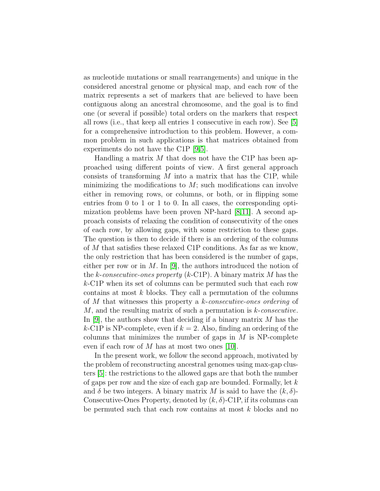as nucleotide mutations or small rearrangements) and unique in the considered ancestral genome or physical map, and each row of the matrix represents a set of markers that are believed to have been contiguous along an ancestral chromosome, and the goal is to find one (or several if possible) total orders on the markers that respect all rows (i.e., that keep all entries 1 consecutive in each row). See [\[5\]](#page-11-2) for a comprehensive introduction to this problem. However, a common problem in such applications is that matrices obtained from experiments do not have the C1P [\[9,](#page-11-3)[5\]](#page-11-2).

Handling a matrix  $M$  that does not have the C1P has been approached using different points of view. A first general approach consists of transforming  $M$  into a matrix that has the C1P, while minimizing the modifications to  $M$ ; such modifications can involve either in removing rows, or columns, or both, or in flipping some entries from 0 to 1 or 1 to 0. In all cases, the corresponding optimization problems have been proven NP-hard [\[8,](#page-11-4)[11\]](#page-11-5). A second approach consists of relaxing the condition of consecutivity of the ones of each row, by allowing gaps, with some restriction to these gaps. The question is then to decide if there is an ordering of the columns of M that satisfies these relaxed C1P conditions. As far as we know, the only restriction that has been considered is the number of gaps, either per row or in  $M$ . In [\[9\]](#page-11-3), the authors introduced the notion of the k-consecutive-ones property (k-C1P). A binary matrix  $M$  has the k-C1P when its set of columns can be permuted such that each row contains at most  $k$  blocks. They call a permutation of the columns of M that witnesses this property a k-consecutive-ones ordering of M, and the resulting matrix of such a permutation is k-consecutive. In  $[9]$ , the authors show that deciding if a binary matrix M has the k-C1P is NP-complete, even if  $k = 2$ . Also, finding an ordering of the columns that minimizes the number of gaps in  $M$  is NP-complete even if each row of M has at most two ones  $[10]$ .

In the present work, we follow the second approach, motivated by the problem of reconstructing ancestral genomes using max-gap clusters [\[5\]](#page-11-2): the restrictions to the allowed gaps are that both the number of gaps per row and the size of each gap are bounded. Formally, let  $k$ and  $\delta$  be two integers. A binary matrix M is said to have the  $(k, \delta)$ -Consecutive-Ones Property, denoted by  $(k, \delta)$ -C1P, if its columns can be permuted such that each row contains at most k blocks and no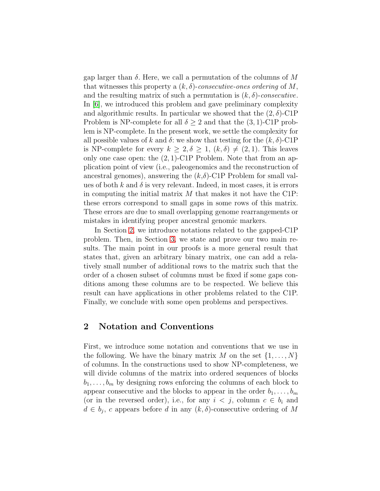gap larger than  $\delta$ . Here, we call a permutation of the columns of M that witnesses this property a  $(k, \delta)$ -consecutive-ones ordering of M, and the resulting matrix of such a permutation is  $(k, \delta)$ -consecutive. In [\[6\]](#page-11-0), we introduced this problem and gave preliminary complexity and algorithmic results. In particular we showed that the  $(2, \delta)$ -C1P Problem is NP-complete for all  $\delta \geq 2$  and that the  $(3,1)$ -C1P problem is NP-complete. In the present work, we settle the complexity for all possible values of k and  $\delta$ : we show that testing for the  $(k, \delta)$ -C1P is NP-complete for every  $k \geq 2, \delta \geq 1, (k, \delta) \neq (2, 1)$ . This leaves only one case open: the  $(2, 1)$ -C1P Problem. Note that from an application point of view (i.e., paleogenomics and the reconstruction of ancestral genomes), answering the  $(k,\delta)$ -C1P Problem for small values of both k and  $\delta$  is very relevant. Indeed, in most cases, it is errors in computing the initial matrix  $M$  that makes it not have the C1P: these errors correspond to small gaps in some rows of this matrix. These errors are due to small overlapping genome rearrangements or mistakes in identifying proper ancestral genomic markers.

In Section [2,](#page-2-0) we introduce notations related to the gapped-C1P problem. Then, in Section [3,](#page-3-0) we state and prove our two main results. The main point in our proofs is a more general result that states that, given an arbitrary binary matrix, one can add a relatively small number of additional rows to the matrix such that the order of a chosen subset of columns must be fixed if some gaps conditions among these columns are to be respected. We believe this result can have applications in other problems related to the C1P. Finally, we conclude with some open problems and perspectives.

# <span id="page-2-0"></span>2 Notation and Conventions

First, we introduce some notation and conventions that we use in the following. We have the binary matrix M on the set  $\{1, \ldots, N\}$ of columns. In the constructions used to show NP-completeness, we will divide columns of the matrix into ordered sequences of blocks  $b_1, \ldots, b_m$  by designing rows enforcing the columns of each block to appear consecutive and the blocks to appear in the order  $b_1, \ldots, b_m$ (or in the reversed order), i.e., for any  $i < j$ , column  $c \in b_i$  and  $d \in b_j$ , c appears before d in any  $(k, \delta)$ -consecutive ordering of M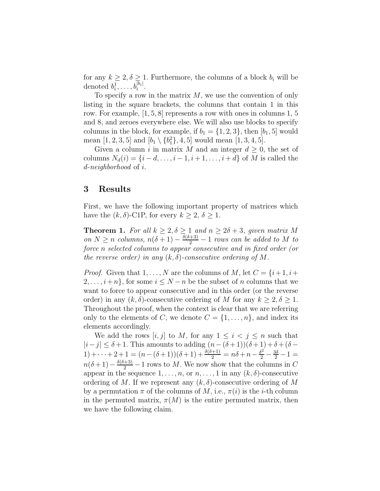for any  $k \geq 2, \delta \geq 1$ . Furthermore, the columns of a block  $b_i$  will be denoted  $b_i^1, \ldots, b_i^{|b_i|}$ .

To specify a row in the matrix  $M$ , we use the convention of only listing in the square brackets, the columns that contain 1 in this row. For example, [1, 5, 8] represents a row with ones in columns 1, 5 and 8, and zeroes everywhere else. We will also use blocks to specify columns in the block, for example, if  $b_1 = \{1, 2, 3\}$ , then  $[b_1, 5]$  would mean  $[1, 2, 3, 5]$  and  $[b_1 \setminus \{b_1^2\}, 4, 5]$  would mean  $[1, 3, 4, 5]$ .

Given a column i in matrix M and an integer  $d \geq 0$ , the set of columns  $N_d(i) = \{i - d, \ldots, i - 1, i + 1, \ldots, i + d\}$  of M is called the d-neighborhood of i.

## <span id="page-3-0"></span>3 Results

<span id="page-3-1"></span>First, we have the following important property of matrices which have the  $(k, \delta)$ -C1P, for every  $k \geq 2, \delta \geq 1$ .

**Theorem 1.** For all  $k \geq 2, \delta \geq 1$  and  $n \geq 2\delta + 3$ , given matrix M on  $N \geq n$  columns,  $n(\delta + 1) - \frac{\delta(\delta + 3)}{2} - 1$  rows can be added to M to force n selected columns to appear consecutive and in fixed order (or the reverse order) in any  $(k, \delta)$ -consecutive ordering of M.

*Proof.* Given that  $1, \ldots, N$  are the columns of M, let  $C = \{i+1, i+1\}$  $2, \ldots, i+n$ , for some  $i \leq N-n$  be the subset of n columns that we want to force to appear consecutive and in this order (or the reverse order) in any  $(k, \delta)$ -consecutive ordering of M for any  $k \geq 2, \delta \geq 1$ . Throughout the proof, when the context is clear that we are referring only to the elements of C, we denote  $C = \{1, \ldots, n\}$ , and index its elements accordingly.

We add the rows  $[i, j]$  to M, for any  $1 \leq i < j \leq n$  such that  $|i-j| \leq \delta + 1$ . This amounts to adding  $(n-(\delta+1))(\delta+1) + \delta + (\delta-1)$ 1) +  $\cdots$  + 2 + 1 =  $(n - (\delta + 1))(\delta + 1) + \frac{\delta(\delta + 1)}{2} = n\delta + n - \frac{\delta^2}{2} - \frac{3\delta}{2} - 1 =$  $n(\delta+1)-\frac{\delta(\delta+3)}{2}-1$  rows to M. We now show that the columns in C appear in the sequence  $1, \ldots, n$ , or  $n, \ldots, 1$  in any  $(k, \delta)$ -consecutive ordering of M. If we represent any  $(k, \delta)$ -consecutive ordering of M by a permutation  $\pi$  of the columns of M, i.e.,  $\pi(i)$  is the *i*-th column in the permuted matrix,  $\pi(M)$  is the entire permuted matrix, then we have the following claim.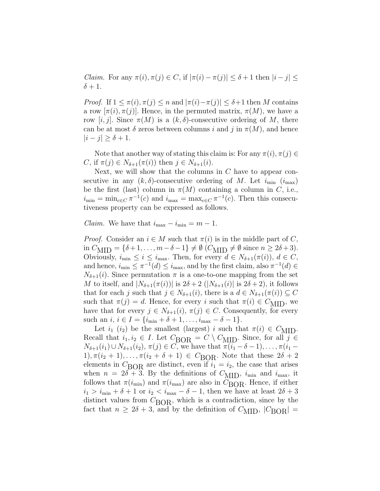*Claim.* For any  $\pi(i), \pi(j) \in C$ , if  $|\pi(i) - \pi(j)| \leq \delta + 1$  then  $|i - j| \leq$  $\delta + 1$ .

*Proof.* If  $1 \leq \pi(i), \pi(j) \leq n$  and  $|\pi(i) - \pi(j)| \leq \delta + 1$  then M contains a row  $[\pi(i), \pi(j)]$ . Hence, in the permuted matrix,  $\pi(M)$ , we have a row [i, j]. Since  $\pi(M)$  is a  $(k, \delta)$ -consecutive ordering of M, there can be at most  $\delta$  zeros between columns i and j in  $\pi(M)$ , and hence  $|i - j| \geq \delta + 1$ .

Note that another way of stating this claim is: For any  $\pi(i), \pi(j) \in$ C, if  $\pi(j) \in N_{\delta+1}(\pi(i))$  then  $j \in N_{\delta+1}(i)$ .

Next, we will show that the columns in  $C$  have to appear consecutive in any  $(k, \delta)$ -consecutive ordering of M. Let  $i_{\min}$   $(i_{\max})$ be the first (last) column in  $\pi(M)$  containing a column in C, i.e.,  $i_{\min} = \min_{c \in C} \pi^{-1}(c)$  and  $i_{\max} = \max_{c \in C} \pi^{-1}(c)$ . Then this consecutiveness property can be expressed as follows.

*Claim.* We have that  $i_{\text{max}} - i_{\text{min}} = m - 1$ .

*Proof.* Consider an  $i \in M$  such that  $\pi(i)$  is in the middle part of C, in  $C_{\text{MID}} = {\delta+1,\ldots,m-\delta-1} \neq \emptyset$  ( $C_{\text{MID}} \neq \emptyset$  since  $n \geq 2\delta+3$ ). Obviously,  $i_{\min} \leq i \leq i_{\max}$ . Then, for every  $d \in N_{\delta+1}(\pi(i))$ ,  $d \in C$ , and hence,  $i_{\min} \leq \pi^{-1}(d) \leq i_{\max}$ , and by the first claim, also  $\pi^{-1}(d) \in$  $N_{\delta+1}(i)$ . Since permutation  $\pi$  is a one-to-one mapping from the set M to itself, and  $|N_{\delta+1}(\pi(i))|$  is  $2\delta+2$   $(|N_{\delta+1}(i)|$  is  $2\delta+2)$ , it follows that for each j such that  $j \in N_{\delta+1}(i)$ , there is a  $d \in N_{\delta+1}(\pi(i)) \subseteq C$ such that  $\pi(j) = d$ . Hence, for every i such that  $\pi(i) \in C_{\text{MID}}$ , we have that for every  $j \in N_{\delta+1}(i)$ ,  $\pi(j) \in C$ . Consequently, for every such an  $i, i \in I = \{i_{\min} + \delta + 1, \ldots, i_{\max} - \delta - 1\}.$ 

Let  $i_1$   $(i_2)$  be the smallest (largest) i such that  $\pi(i) \in C_{\text{MID}}$ . Recall that  $i_1, i_2 \in I$ . Let  $C_{\text{BOR}} = C \setminus C_{\text{MID}}$ . Since, for all  $j \in$  $N_{\delta+1}(i_1)\cup N_{\delta+1}(i_2), \pi(j)\in C$ , we have that  $\pi(i_1-\delta-1), \ldots, \pi(i_1-\delta-1)$  $1), \pi(i_2 + 1), \ldots, \pi(i_2 + \delta + 1) \in C_{\text{BOR}}$ . Note that these  $2\delta + 2$ elements in  $C<sub>BOR</sub>$  are distinct, even if  $i<sub>1</sub> = i<sub>2</sub>$ , the case that arises when  $n = 2\delta + 3$ . By the definitions of  $C_{\text{MID}}$ ,  $i_{\text{min}}$  and  $i_{\text{max}}$ , it follows that  $\pi(i_{\min})$  and  $\pi(i_{\max})$  are also in  $C_{\text{BOR}}$ . Hence, if either  $i_1 > i_{\min} + \delta + 1$  or  $i_2 < i_{\max} - \delta - 1$ , then we have at least  $2\delta + 3$ distinct values from  $C_{\rm BOR}$ , which is a contradiction, since by the fact that  $n \geq 2\delta + 3$ , and by the definition of  $C_{\text{MID}}$ ,  $|C_{\text{BOR}}|$  =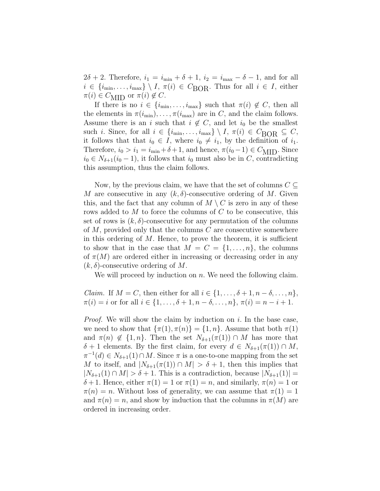$2\delta + 2$ . Therefore,  $i_1 = i_{\min} + \delta + 1$ ,  $i_2 = i_{\max} - \delta - 1$ , and for all  $i \in \{i_{\min}, \ldots, i_{\max}\} \setminus I, \pi(i) \in C_{\text{BOR}}$ . Thus for all  $i \in I$ , either  $\pi(i) \in C_{\text{MID}}$  or  $\pi(i) \notin C$ .

If there is no  $i \in \{i_{\min}, \ldots, i_{\max}\}\$  such that  $\pi(i) \notin C$ , then all the elements in  $\pi(i_{\min}), \ldots, \pi(i_{\max})$  are in C, and the claim follows. Assume there is an i such that  $i \notin C$ , and let  $i_0$  be the smallest such i. Since, for all  $i \in \{i_{\min}, \ldots, i_{\max}\} \setminus I$ ,  $\pi(i) \in C_{\text{BOR}} \subseteq C$ , it follows that that  $i_0 \in I$ , where  $i_0 \neq i_1$ , by the definition of  $i_1$ . Therefore,  $i_0 > i_1 = i_{\min} + \delta + 1$ , and hence,  $\pi(i_0 - 1) \in C_{\text{MID}}$ . Since  $i_0 \in N_{\delta+1}(i_0-1)$ , it follows that  $i_0$  must also be in C, contradicting this assumption, thus the claim follows.

Now, by the previous claim, we have that the set of columns  $C \subseteq$ M are consecutive in any  $(k, \delta)$ -consecutive ordering of M. Given this, and the fact that any column of  $M \setminus C$  is zero in any of these rows added to  $M$  to force the columns of  $C$  to be consecutive, this set of rows is  $(k, \delta)$ -consecutive for any permutation of the columns of  $M$ , provided only that the columns  $C$  are consecutive somewhere in this ordering of  $M$ . Hence, to prove the theorem, it is sufficient to show that in the case that  $M = C = \{1, \ldots, n\}$ , the columns of  $\pi(M)$  are ordered either in increasing or decreasing order in any  $(k, \delta)$ -consecutive ordering of M.

We will proceed by induction on  $n$ . We need the following claim.

*Claim.* If  $M = C$ , then either for all  $i \in \{1, \ldots, \delta + 1, n - \delta, \ldots, n\},\$  $\pi(i) = i$  or for all  $i \in \{1, ..., \delta + 1, n - \delta, ..., n\}, \pi(i) = n - i + 1.$ 

*Proof.* We will show the claim by induction on  $i$ . In the base case, we need to show that  $\{\pi(1), \pi(n)\} = \{1, n\}$ . Assume that both  $\pi(1)$ and  $\pi(n) \notin \{1, n\}$ . Then the set  $N_{\delta+1}(\pi(1)) \cap M$  has more that  $\delta + 1$  elements. By the first claim, for every  $d \in N_{\delta+1}(\pi(1)) \cap M$ ,  $\pi^{-1}(d) \in N_{\delta+1}(1) \cap M$ . Since  $\pi$  is a one-to-one mapping from the set M to itself, and  $|N_{\delta+1}(\pi(1)) \cap M| > \delta + 1$ , then this implies that  $|N_{\delta+1}(1) \cap M| > \delta + 1$ . This is a contradiction, because  $|N_{\delta+1}(1)| =$ δ + 1. Hence, either  $\pi(1) = 1$  or  $\pi(1) = n$ , and similarly,  $\pi(n) = 1$  or  $\pi(n) = n$ . Without loss of generality, we can assume that  $\pi(1) = 1$ and  $\pi(n) = n$ , and show by induction that the columns in  $\pi(M)$  are ordered in increasing order.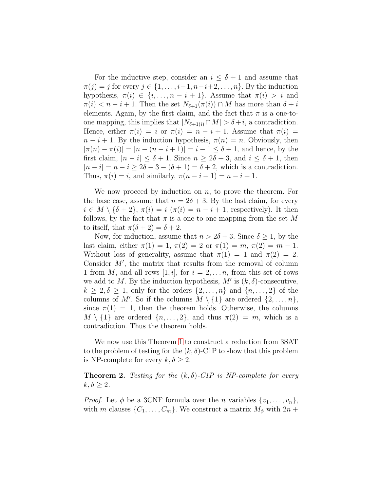For the inductive step, consider an  $i \leq \delta + 1$  and assume that  $\pi(j) = j$  for every  $j \in \{1, \ldots, i-1, n-i+2, \ldots, n\}$ . By the induction hypothesis,  $\pi(i) \in \{i, \ldots, n-i+1\}$ . Assume that  $\pi(i) > i$  and  $\pi(i) < n-i+1$ . Then the set  $N_{\delta+1}(\pi(i)) \cap M$  has more than  $\delta + i$ elements. Again, by the first claim, and the fact that  $\pi$  is a one-toone mapping, this implies that  $|N_{\delta+1(i)} \cap M| > \delta + i$ , a contradiction. Hence, either  $\pi(i) = i$  or  $\pi(i) = n - i + 1$ . Assume that  $\pi(i) =$  $n-i+1$ . By the induction hypothesis,  $\pi(n) = n$ . Obviously, then  $|\pi(n) - \pi(i)| = |n - (n - i + 1)| = i - 1 \leq \delta + 1$ , and hence, by the first claim,  $|n - i| \leq \delta + 1$ . Since  $n \geq 2\delta + 3$ , and  $i \leq \delta + 1$ , then  $|n - i| = n - i > 2\delta + 3 - (\delta + 1) = \delta + 2$ , which is a contradiction. Thus,  $\pi(i) = i$ , and similarly,  $\pi(n-i+1) = n-i+1$ .

We now proceed by induction on  $n$ , to prove the theorem. For the base case, assume that  $n = 2\delta + 3$ . By the last claim, for every  $i \in M \setminus {\delta+2}, \pi(i) = i \pi(i) = n-i+1$ , respectively). It then follows, by the fact that  $\pi$  is a one-to-one mapping from the set M to itself, that  $\pi(\delta + 2) = \delta + 2$ .

Now, for induction, assume that  $n > 2\delta + 3$ . Since  $\delta \geq 1$ , by the last claim, either  $\pi(1) = 1$ ,  $\pi(2) = 2$  or  $\pi(1) = m$ ,  $\pi(2) = m - 1$ . Without loss of generality, assume that  $\pi(1) = 1$  and  $\pi(2) = 2$ . Consider  $M'$ , the matrix that results from the removal of column 1 from M, and all rows [1, i], for  $i = 2, \ldots n$ , from this set of rows we add to M. By the induction hypothesis,  $M'$  is  $(k, \delta)$ -consecutive,  $k \geq 2, \delta \geq 1$ , only for the orders  $\{2, \ldots, n\}$  and  $\{n, \ldots, 2\}$  of the columns of M'. So if the columns  $M \setminus \{1\}$  are ordered  $\{2, \ldots, n\}$ , since  $\pi(1) = 1$ , then the theorem holds. Otherwise, the columns  $M \setminus \{1\}$  are ordered  $\{n, \ldots, 2\}$ , and thus  $\pi(2) = m$ , which is a contradiction. Thus the theorem holds.

We now use this Theorem [1](#page-3-1) to construct a reduction from 3SAT to the problem of testing for the  $(k, \delta)$ -C1P to show that this problem is NP-complete for every  $k, \delta \geq 2$ .

<span id="page-6-0"></span>**Theorem 2.** Testing for the  $(k, \delta)$ -C1P is NP-complete for every  $k, \delta \geq 2$ .

*Proof.* Let  $\phi$  be a 3CNF formula over the *n* variables  $\{v_1, \ldots, v_n\}$ , with m clauses  $\{C_1, \ldots, C_m\}$ . We construct a matrix  $M_{\phi}$  with  $2n +$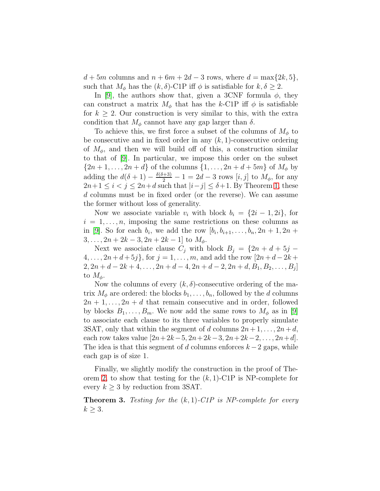$d + 5m$  columns and  $n + 6m + 2d - 3$  rows, where  $d = \max\{2k, 5\},\$ such that  $M_{\phi}$  has the  $(k, \delta)$ -C1P iff  $\phi$  is satisfiable for  $k, \delta \geq 2$ .

In [\[9\]](#page-11-3), the authors show that, given a 3CNF formula  $\phi$ , they can construct a matrix  $M_{\phi}$  that has the k-C1P iff  $\phi$  is satisfiable for  $k \geq 2$ . Our construction is very similar to this, with the extra condition that  $M_{\phi}$  cannot have any gap larger than  $\delta$ .

To achieve this, we first force a subset of the columns of  $M_{\phi}$  to be consecutive and in fixed order in any  $(k, 1)$ -consecutive ordering of  $M_{\phi}$ , and then we will build off of this, a construction similar to that of [\[9\]](#page-11-3). In particular, we impose this order on the subset  $\{2n + 1, ..., 2n + d\}$  of the columns  $\{1, ..., 2n + d + 5m\}$  of  $M_{\phi}$  by adding the  $d(\delta + 1) - \frac{\delta(\delta + 3)}{2} - 1 = 2d - 3$  rows  $[i, j]$  to  $M_{\phi}$ , for any  $2n+1 \leq i < j \leq 2n+d$  such that  $|i-j| \leq \delta+1$ . By Theorem [1,](#page-3-1) these d columns must be in fixed order (or the reverse). We can assume the former without loss of generality.

Now we associate variable  $v_i$  with block  $b_i = \{2i - 1, 2i\}$ , for  $i = 1, \ldots, n$ , imposing the same restrictions on these columns as in [\[9\]](#page-11-3). So for each  $b_i$ , we add the row  $[b_i, b_{i+1}, \ldots, b_n, 2n+1, 2n+1]$  $3, \ldots, 2n + 2k - 3, 2n + 2k - 1$  to  $M_{\phi}$ .

Next we associate clause  $C_j$  with block  $B_j = \{2n + d + 5j - d\}$  $4, \ldots, 2n+d+5j\},\text{ for } j = 1, \ldots, m, \text{ and add the row } [2n+d-2k+1]$  $2, 2n + d - 2k + 4, \ldots, 2n + d - 4, 2n + d - 2, 2n + d, B_1, B_2, \ldots, B_j$ to  $M_{\phi}$ .

Now the columns of every  $(k, \delta)$ -consecutive ordering of the matrix  $M_{\phi}$  are ordered: the blocks  $b_1, \ldots, b_n$ , followed by the d columns  $2n+1,\ldots,2n+d$  that remain consecutive and in order, followed by blocks  $B_1, \ldots, B_m$ . We now add the same rows to  $M_\phi$  as in [\[9\]](#page-11-3) to associate each clause to its three variables to properly simulate 3SAT, only that within the segment of d columns  $2n + 1, \ldots, 2n + d$ , each row takes value  $[2n+2k-5, 2n+2k-3, 2n+2k-2, \ldots, 2n+d].$ The idea is that this segment of d columns enforces  $k-2$  gaps, while each gap is of size 1.

Finally, we slightly modify the construction in the proof of The-orem [2,](#page-6-0) to show that testing for the  $(k, 1)$ -C1P is NP-complete for every  $k \geq 3$  by reduction from 3SAT.

**Theorem 3.** Testing for the  $(k, 1)$ -C1P is NP-complete for every  $k \geq 3$ .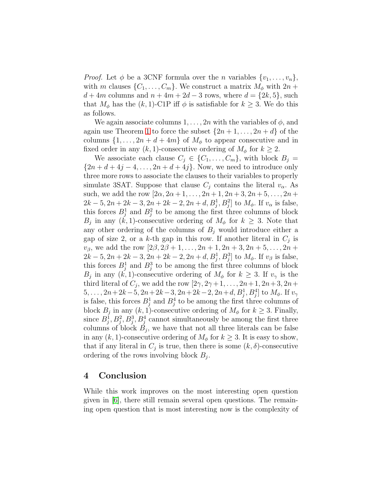*Proof.* Let  $\phi$  be a 3CNF formula over the *n* variables  $\{v_1, \ldots, v_n\}$ , with m clauses  $\{C_1, \ldots, C_m\}$ . We construct a matrix  $M_{\phi}$  with  $2n +$  $d + 4m$  columns and  $n + 4m + 2d - 3$  rows, where  $d = \{2k, 5\}$ , such that  $M_{\phi}$  has the  $(k, 1)$ -C1P iff  $\phi$  is satisfiable for  $k \geq 3$ . We do this as follows.

We again associate columns  $1, \ldots, 2n$  with the variables of  $\phi$ , and again use Theorem [1](#page-3-1) to force the subset  $\{2n+1,\ldots,2n+d\}$  of the columns  $\{1, \ldots, 2n + d + 4m\}$  of  $M_{\phi}$  to appear consecutive and in fixed order in any  $(k, 1)$ -consecutive ordering of  $M_{\phi}$  for  $k \geq 2$ .

We associate each clause  $C_j \in \{C_1, \ldots, C_m\}$ , with block  $B_j =$  $\{2n+d+4j-4,\ldots,2n+d+4j\}$ . Now, we need to introduce only three more rows to associate the clauses to their variables to properly simulate 3SAT. Suppose that clause  $C_i$  contains the literal  $v_\alpha$ . As such, we add the row  $[2\alpha, 2\alpha+1, \ldots, 2n+1, 2n+3, 2n+5, \ldots, 2n+$  $2k-5, 2n+2k-3, 2n+2k-2, 2n+d, B_j^1, B_j^2$  to  $M_{\phi}$ . If  $v_{\alpha}$  is false, this forces  $B_j^1$  and  $B_j^2$  to be among the first three columns of block  $B_j$  in any  $(k, 1)$ -consecutive ordering of  $M_\phi$  for  $k \geq 3$ . Note that any other ordering of the columns of  $B_j$  would introduce either a gap of size 2, or a k-th gap in this row. If another literal in  $C_j$  is  $v_{\beta}$ , we add the row  $[2\beta, 2\beta + 1, \ldots, 2n + 1, 2n + 3, 2n + 5, \ldots, 2n +$  $2k-5, 2n+2k-3, 2n+2k-2, 2n+d, B<sub>j</sub><sup>1</sup>, B<sub>j</sub><sup>3</sup>]$  to  $M<sub>\phi</sub>$ . If  $v<sub>\beta</sub>$  is false, this forces  $B_j^1$  and  $B_j^3$  to be among the first three columns of block  $B_j$  in any  $(k, 1)$ -consecutive ordering of  $M_\phi$  for  $k \geq 3$ . If  $v_\gamma$  is the third literal of  $C_j$ , we add the row  $[2\gamma, 2\gamma+1, \ldots, 2n+1, 2n+3, 2n+1]$  $5, \ldots, 2n+2k-5, 2n+2k-3, 2n+2k-2, 2n+d, B<sub>j</sub><sup>1</sup>, B<sub>j</sub><sup>4</sup>]$  to  $M_{\phi}$ . If  $v_{\gamma}$ is false, this forces  $B_j^1$  and  $B_j^4$  to be among the first three columns of block  $B_j$  in any  $(k, 1)$ -consecutive ordering of  $M_\phi$  for  $k \geq 3$ . Finally, since  $B_j^1, B_j^2, B_j^3, B_j^4$  cannot simultaneously be among the first three columns of block  $B_j$ , we have that not all three literals can be false in any  $(k, 1)$ -consecutive ordering of  $M_{\phi}$  for  $k \geq 3$ . It is easy to show, that if any literal in  $C_j$  is true, then there is some  $(k, \delta)$ -consecutive ordering of the rows involving block  $B_j$ .

#### 4 Conclusion

While this work improves on the most interesting open question given in [\[6\]](#page-11-0), there still remain several open questions. The remaining open question that is most interesting now is the complexity of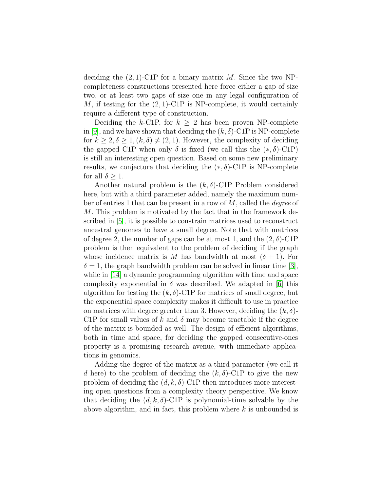deciding the  $(2, 1)$ -C1P for a binary matrix M. Since the two NPcompleteness constructions presented here force either a gap of size two, or at least two gaps of size one in any legal configuration of M, if testing for the  $(2, 1)$ -C1P is NP-complete, it would certainly require a different type of construction.

Deciding the k-C1P, for  $k \geq 2$  has been proven NP-complete in [\[9\]](#page-11-3), and we have shown that deciding the  $(k, \delta)$ -C1P is NP-complete for  $k \geq 2, \delta \geq 1, (k, \delta) \neq (2, 1)$ . However, the complexity of deciding the gapped C1P when only  $\delta$  is fixed (we call this the  $(*, \delta)$ -C1P) is still an interesting open question. Based on some new preliminary results, we conjecture that deciding the  $(*, \delta)$ -C1P is NP-complete for all  $\delta \geq 1$ .

Another natural problem is the  $(k, \delta)$ -C1P Problem considered here, but with a third parameter added, namely the maximum number of entries 1 that can be present in a row of  $M$ , called the *degree* of M. This problem is motivated by the fact that in the framework described in [\[5\]](#page-11-2), it is possible to constrain matrices used to reconstruct ancestral genomes to have a small degree. Note that with matrices of degree 2, the number of gaps can be at most 1, and the  $(2, \delta)$ -C1P problem is then equivalent to the problem of deciding if the graph whose incidence matrix is M has bandwidth at most  $(\delta + 1)$ . For  $\delta = 1$ , the graph bandwidth problem can be solved in linear time [\[3\]](#page-10-2), while in [\[14\]](#page-11-7) a dynamic programming algorithm with time and space complexity exponential in  $\delta$  was described. We adapted in [\[6\]](#page-11-0) this algorithm for testing the  $(k, \delta)$ -C1P for matrices of small degree, but the exponential space complexity makes it difficult to use in practice on matrices with degree greater than 3. However, deciding the  $(k, \delta)$ -C1P for small values of k and  $\delta$  may become tractable if the degree of the matrix is bounded as well. The design of efficient algorithms, both in time and space, for deciding the gapped consecutive-ones property is a promising research avenue, with immediate applications in genomics.

Adding the degree of the matrix as a third parameter (we call it d here) to the problem of deciding the  $(k, \delta)$ -C1P to give the new problem of deciding the  $(d, k, \delta)$ -C1P then introduces more interesting open questions from a complexity theory perspective. We know that deciding the  $(d, k, \delta)$ -C1P is polynomial-time solvable by the above algorithm, and in fact, this problem where  $k$  is unbounded is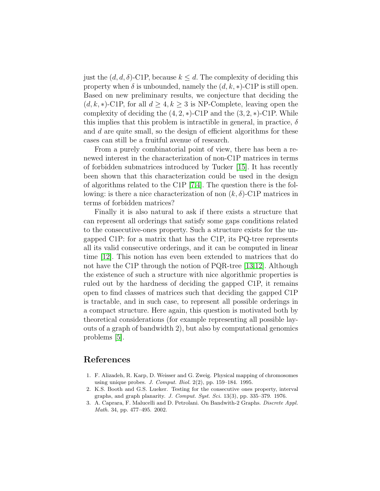just the  $(d, d, \delta)$ -C1P, because  $k \leq d$ . The complexity of deciding this property when  $\delta$  is unbounded, namely the  $(d, k, *)$ -C1P is still open. Based on new preliminary results, we conjecture that deciding the  $(d, k, *)$ -C1P, for all  $d \geq 4, k \geq 3$  is NP-Complete, leaving open the complexity of deciding the  $(4, 2, *)$ -C1P and the  $(3, 2, *)$ -C1P. While this implies that this problem is intractible in general, in practice,  $\delta$ and d are quite small, so the design of efficient algorithms for these cases can still be a fruitful avenue of research.

From a purely combinatorial point of view, there has been a renewed interest in the characterization of non-C1P matrices in terms of forbidden submatrices introduced by Tucker [\[15\]](#page-11-8). It has recently been shown that this characterization could be used in the design of algorithms related to the C1P [\[7](#page-11-9)[,4\]](#page-11-10). The question there is the following: is there a nice characterization of non  $(k, \delta)$ -C1P matrices in terms of forbidden matrices?

Finally it is also natural to ask if there exists a structure that can represent all orderings that satisfy some gaps conditions related to the consecutive-ones property. Such a structure exists for the ungapped C1P: for a matrix that has the C1P, its PQ-tree represents all its valid consecutive orderings, and it can be computed in linear time [\[12\]](#page-11-1). This notion has even been extended to matrices that do not have the C1P through the notion of PQR-tree [\[13,](#page-11-11)[12\]](#page-11-1). Although the existence of such a structure with nice algorithmic properties is ruled out by the hardness of deciding the gapped C1P, it remains open to find classes of matrices such that deciding the gapped C1P is tractable, and in such case, to represent all possible orderings in a compact structure. Here again, this question is motivated both by theoretical considerations (for example representing all possible layouts of a graph of bandwidth 2), but also by computational genomics problems [\[5\]](#page-11-2).

## References

- <span id="page-10-1"></span>1. F. Alizadeh, R. Karp, D. Weisser and G. Zweig. Physical mapping of chromosomes using unique probes. J. Comput. Biol. 2(2), pp. 159–184. 1995.
- <span id="page-10-0"></span>2. K.S. Booth and G.S. Lueker. Testing for the consecutive ones property, interval graphs, and graph planarity. J. Comput. Syst. Sci. 13(3), pp. 335–379. 1976.
- <span id="page-10-2"></span>3. A. Caprara, F. Malucelli and D. Petrolani. On Bandwith-2 Graphs. Discrete Appl. Math. 34, pp. 477–495. 2002.